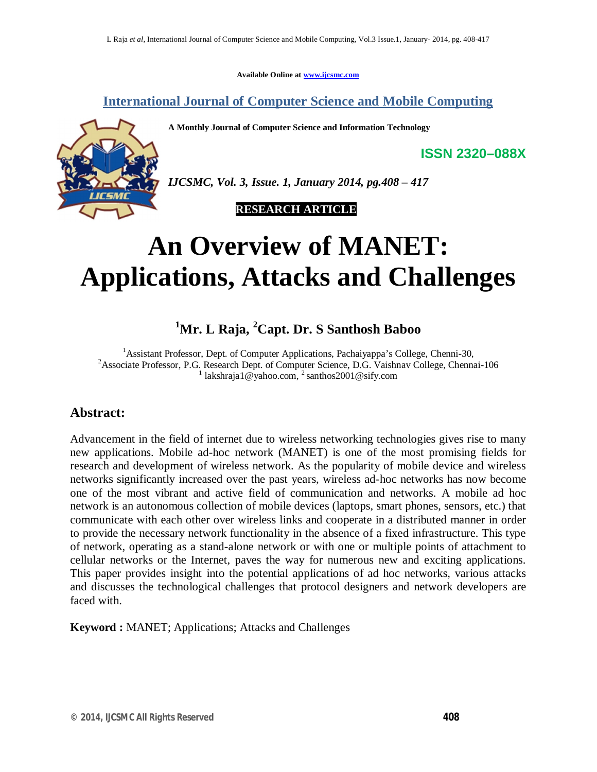**Available Online at www.ijcsmc.com**

**International Journal of Computer Science and Mobile Computing**

**A Monthly Journal of Computer Science and Information Technology**



*IJCSMC, Vol. 3, Issue. 1, January 2014, pg.408 – 417*

 **RESEARCH ARTICLE**

# **An Overview of MANET: Applications, Attacks and Challenges**

# **<sup>1</sup>Mr. L Raja, <sup>2</sup>Capt. Dr. S Santhosh Baboo**

<sup>1</sup>Assistant Professor, Dept. of Computer Applications, Pachaiyappa's College, Chenni-30, <sup>2</sup> Associate Professor, P.G. Research Dept. of Computer Science, D.G. Vaishnav College, Chennai-106 <sup>1</sup> lakshraja1@yahoo.com, <sup>2</sup> santhos2001@sify.com

## **Abstract:**

Advancement in the field of internet due to wireless networking technologies gives rise to many new applications. Mobile ad-hoc network (MANET) is one of the most promising fields for research and development of wireless network. As the popularity of mobile device and wireless networks significantly increased over the past years, wireless ad-hoc networks has now become one of the most vibrant and active field of communication and networks. A mobile ad hoc network is an autonomous collection of mobile devices (laptops, smart phones, sensors, etc.) that communicate with each other over wireless links and cooperate in a distributed manner in order to provide the necessary network functionality in the absence of a fixed infrastructure. This type of network, operating as a stand-alone network or with one or multiple points of attachment to cellular networks or the Internet, paves the way for numerous new and exciting applications. This paper provides insight into the potential applications of ad hoc networks, various attacks and discusses the technological challenges that protocol designers and network developers are faced with.

**Keyword :** MANET; Applications; Attacks and Challenges

**ISSN 2320–088X**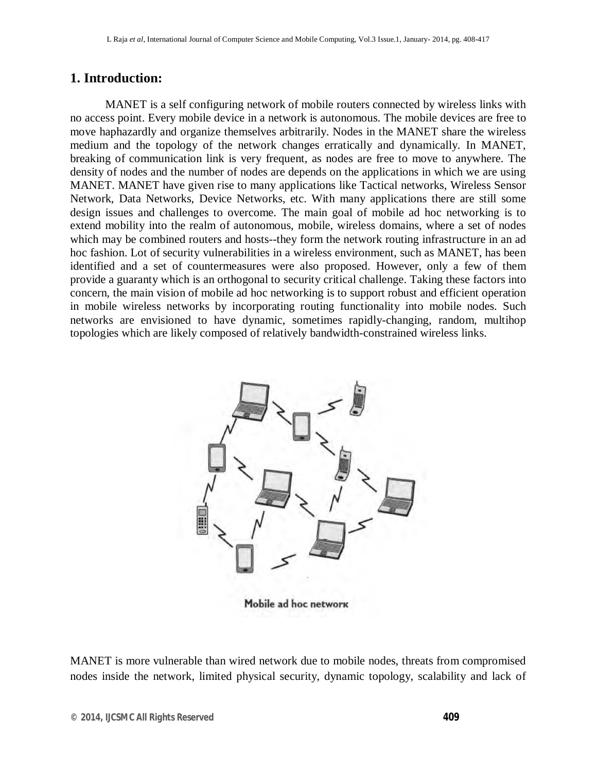#### **1. Introduction:**

MANET is a self configuring network of mobile routers connected by wireless links with no access point. Every mobile device in a network is autonomous. The mobile devices are free to move haphazardly and organize themselves arbitrarily. Nodes in the MANET share the wireless medium and the topology of the network changes erratically and dynamically. In MANET, breaking of communication link is very frequent, as nodes are free to move to anywhere. The density of nodes and the number of nodes are depends on the applications in which we are using MANET. MANET have given rise to many applications like Tactical networks, Wireless Sensor Network, Data Networks, Device Networks, etc. With many applications there are still some design issues and challenges to overcome. The main goal of mobile ad hoc networking is to extend mobility into the realm of autonomous, mobile, wireless domains, where a set of nodes which may be combined routers and hosts--they form the network routing infrastructure in an ad hoc fashion. Lot of security vulnerabilities in a wireless environment, such as MANET, has been identified and a set of countermeasures were also proposed. However, only a few of them provide a guaranty which is an orthogonal to security critical challenge. Taking these factors into concern, the main vision of mobile ad hoc networking is to support robust and efficient operation in mobile wireless networks by incorporating routing functionality into mobile nodes. Such networks are envisioned to have dynamic, sometimes rapidly-changing, random, multihop topologies which are likely composed of relatively bandwidth-constrained wireless links.



Mobile ad hoc network

MANET is more vulnerable than wired network due to mobile nodes, threats from compromised nodes inside the network, limited physical security, dynamic topology, scalability and lack of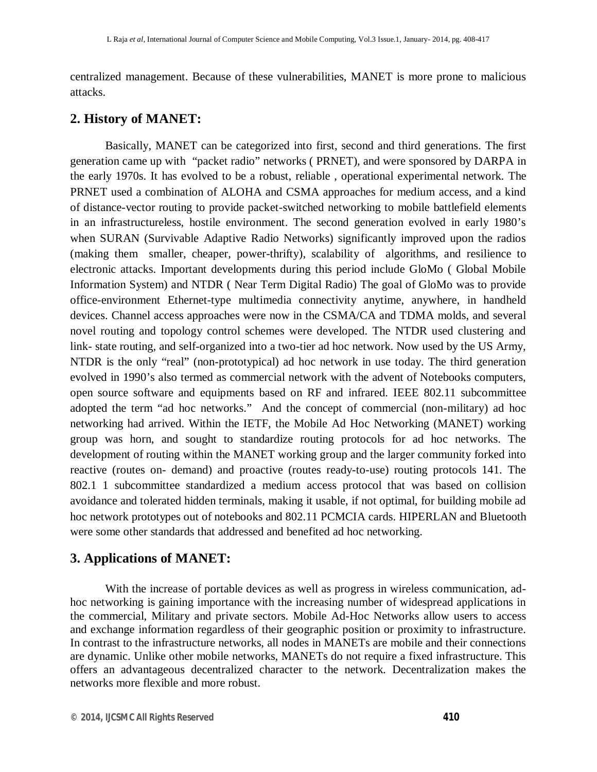centralized management. Because of these vulnerabilities, MANET is more prone to malicious attacks.

#### **2. History of MANET:**

Basically, MANET can be categorized into first, second and third generations. The first generation came up with "packet radio" networks ( PRNET), and were sponsored by DARPA in the early 1970s. It has evolved to be a robust, reliable , operational experimental network. The PRNET used a combination of ALOHA and CSMA approaches for medium access, and a kind of distance-vector routing to provide packet-switched networking to mobile battlefield elements in an infrastructureless, hostile environment. The second generation evolved in early 1980's when SURAN (Survivable Adaptive Radio Networks) significantly improved upon the radios (making them smaller, cheaper, power-thrifty), scalability of algorithms, and resilience to electronic attacks. Important developments during this period include GloMo ( Global Mobile Information System) and NTDR ( Near Term Digital Radio) The goal of GloMo was to provide office-environment Ethernet-type multimedia connectivity anytime, anywhere, in handheld devices. Channel access approaches were now in the CSMA/CA and TDMA molds, and several novel routing and topology control schemes were developed. The NTDR used clustering and link- state routing, and self-organized into a two-tier ad hoc network. Now used by the US Army, NTDR is the only "real" (non-prototypical) ad hoc network in use today. The third generation evolved in 1990's also termed as commercial network with the advent of Notebooks computers, open source software and equipments based on RF and infrared. IEEE 802.11 subcommittee adopted the term "ad hoc networks." And the concept of commercial (non-military) ad hoc networking had arrived. Within the IETF, the Mobile Ad Hoc Networking (MANET) working group was horn, and sought to standardize routing protocols for ad hoc networks. The development of routing within the MANET working group and the larger community forked into reactive (routes on- demand) and proactive (routes ready-to-use) routing protocols 141. The 802.1 1 subcommittee standardized a medium access protocol that was based on collision avoidance and tolerated hidden terminals, making it usable, if not optimal, for building mobile ad hoc network prototypes out of notebooks and 802.11 PCMCIA cards. HIPERLAN and Bluetooth were some other standards that addressed and benefited ad hoc networking.

#### **3. Applications of MANET:**

With the increase of portable devices as well as progress in wireless communication, adhoc networking is gaining importance with the increasing number of widespread applications in the commercial, Military and private sectors. Mobile Ad-Hoc Networks allow users to access and exchange information regardless of their geographic position or proximity to infrastructure. In contrast to the infrastructure networks, all nodes in MANETs are mobile and their connections are dynamic. Unlike other mobile networks, MANETs do not require a fixed infrastructure. This offers an advantageous decentralized character to the network. Decentralization makes the networks more flexible and more robust.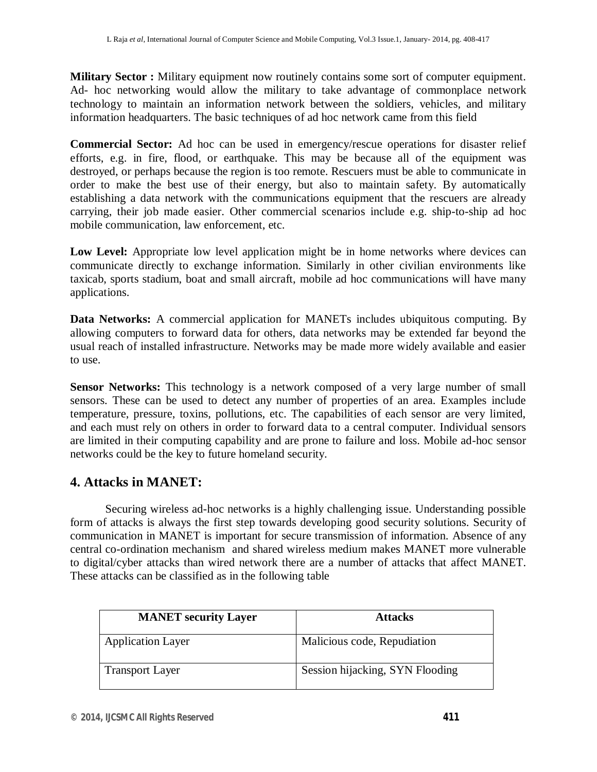**Military Sector :** Military equipment now routinely contains some sort of computer equipment. Ad- hoc networking would allow the military to take advantage of commonplace network technology to maintain an information network between the soldiers, vehicles, and military information headquarters. The basic techniques of ad hoc network came from this field

**Commercial Sector:** Ad hoc can be used in emergency/rescue operations for disaster relief efforts, e.g. in fire, flood, or earthquake. This may be because all of the equipment was destroyed, or perhaps because the region is too remote. Rescuers must be able to communicate in order to make the best use of their energy, but also to maintain safety. By automatically establishing a data network with the communications equipment that the rescuers are already carrying, their job made easier. Other commercial scenarios include e.g. ship-to-ship ad hoc mobile communication, law enforcement, etc.

Low Level: Appropriate low level application might be in home networks where devices can communicate directly to exchange information. Similarly in other civilian environments like taxicab, sports stadium, boat and small aircraft, mobile ad hoc communications will have many applications.

**Data Networks:** A commercial application for MANETs includes ubiquitous computing. By allowing computers to forward data for others, data networks may be extended far beyond the usual reach of installed infrastructure. Networks may be made more widely available and easier to use.

**Sensor Networks:** This technology is a network composed of a very large number of small sensors. These can be used to detect any number of properties of an area. Examples include temperature, pressure, toxins, pollutions, etc. The capabilities of each sensor are very limited, and each must rely on others in order to forward data to a central computer. Individual sensors are limited in their computing capability and are prone to failure and loss. Mobile ad-hoc sensor networks could be the key to future homeland security.

## **4. Attacks in MANET:**

Securing wireless ad-hoc networks is a highly challenging issue. Understanding possible form of attacks is always the first step towards developing good security solutions. Security of communication in MANET is important for secure transmission of information. Absence of any central co-ordination mechanism and shared wireless medium makes MANET more vulnerable to digital/cyber attacks than wired network there are a number of attacks that affect MANET. These attacks can be classified as in the following table

| <b>MANET</b> security Layer | <b>Attacks</b>                  |
|-----------------------------|---------------------------------|
| <b>Application Layer</b>    | Malicious code, Repudiation     |
| <b>Transport Layer</b>      | Session hijacking, SYN Flooding |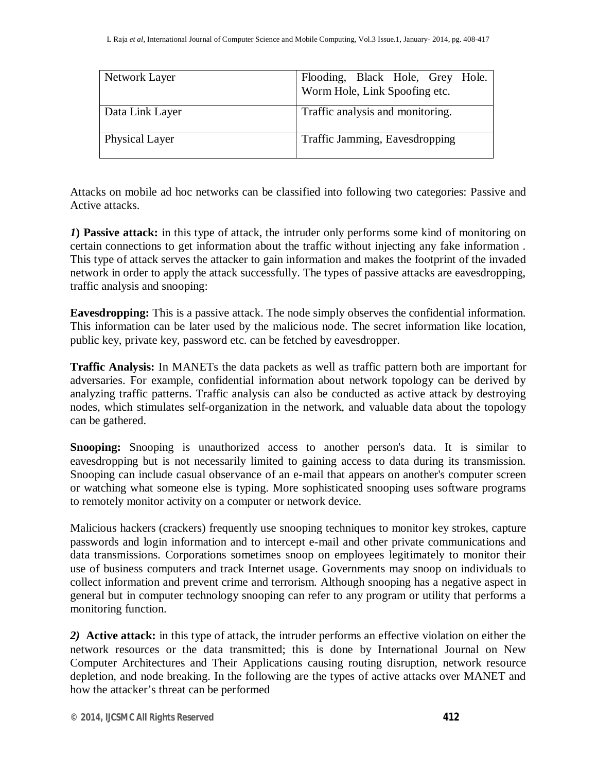| Network Layer   | Flooding, Black Hole, Grey Hole.<br>Worm Hole, Link Spoofing etc. |
|-----------------|-------------------------------------------------------------------|
| Data Link Layer | Traffic analysis and monitoring.                                  |
| Physical Layer  | Traffic Jamming, Eavesdropping                                    |

Attacks on mobile ad hoc networks can be classified into following two categories: Passive and Active attacks.

*1***) Passive attack:** in this type of attack, the intruder only performs some kind of monitoring on certain connections to get information about the traffic without injecting any fake information . This type of attack serves the attacker to gain information and makes the footprint of the invaded network in order to apply the attack successfully. The types of passive attacks are eavesdropping, traffic analysis and snooping:

**Eavesdropping:** This is a passive attack. The node simply observes the confidential information. This information can be later used by the malicious node. The secret information like location, public key, private key, password etc. can be fetched by eavesdropper.

**Traffic Analysis:** In MANETs the data packets as well as traffic pattern both are important for adversaries. For example, confidential information about network topology can be derived by analyzing traffic patterns. Traffic analysis can also be conducted as active attack by destroying nodes, which stimulates self-organization in the network, and valuable data about the topology can be gathered.

**Snooping:** Snooping is unauthorized access to another person's data. It is similar to eavesdropping but is not necessarily limited to gaining access to data during its transmission. Snooping can include casual observance of an e-mail that appears on another's computer screen or watching what someone else is typing. More sophisticated snooping uses software programs to remotely monitor activity on a computer or network device.

Malicious hackers (crackers) frequently use snooping techniques to monitor key strokes, capture passwords and login information and to intercept e-mail and other private communications and data transmissions. Corporations sometimes snoop on employees legitimately to monitor their use of business computers and track Internet usage. Governments may snoop on individuals to collect information and prevent crime and terrorism. Although snooping has a negative aspect in general but in computer technology snooping can refer to any program or utility that performs a monitoring function.

*2)* **Active attack:** in this type of attack, the intruder performs an effective violation on either the network resources or the data transmitted; this is done by International Journal on New Computer Architectures and Their Applications causing routing disruption, network resource depletion, and node breaking. In the following are the types of active attacks over MANET and how the attacker's threat can be performed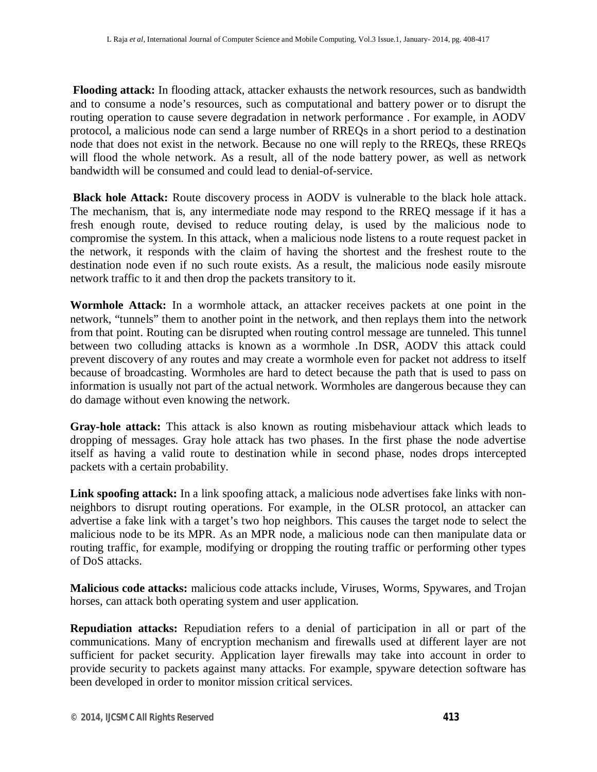**Flooding attack:** In flooding attack, attacker exhausts the network resources, such as bandwidth and to consume a node's resources, such as computational and battery power or to disrupt the routing operation to cause severe degradation in network performance . For example, in AODV protocol, a malicious node can send a large number of RREQs in a short period to a destination node that does not exist in the network. Because no one will reply to the RREQs, these RREQs will flood the whole network. As a result, all of the node battery power, as well as network bandwidth will be consumed and could lead to denial-of-service.

**Black hole Attack:** Route discovery process in AODV is vulnerable to the black hole attack. The mechanism, that is, any intermediate node may respond to the RREQ message if it has a fresh enough route, devised to reduce routing delay, is used by the malicious node to compromise the system. In this attack, when a malicious node listens to a route request packet in the network, it responds with the claim of having the shortest and the freshest route to the destination node even if no such route exists. As a result, the malicious node easily misroute network traffic to it and then drop the packets transitory to it.

**Wormhole Attack:** In a wormhole attack, an attacker receives packets at one point in the network, "tunnels" them to another point in the network, and then replays them into the network from that point. Routing can be disrupted when routing control message are tunneled. This tunnel between two colluding attacks is known as a wormhole .In DSR, AODV this attack could prevent discovery of any routes and may create a wormhole even for packet not address to itself because of broadcasting. Wormholes are hard to detect because the path that is used to pass on information is usually not part of the actual network. Wormholes are dangerous because they can do damage without even knowing the network.

**Gray-hole attack:** This attack is also known as routing misbehaviour attack which leads to dropping of messages. Gray hole attack has two phases. In the first phase the node advertise itself as having a valid route to destination while in second phase, nodes drops intercepted packets with a certain probability.

**Link spoofing attack:** In a link spoofing attack, a malicious node advertises fake links with nonneighbors to disrupt routing operations. For example, in the OLSR protocol, an attacker can advertise a fake link with a target's two hop neighbors. This causes the target node to select the malicious node to be its MPR. As an MPR node, a malicious node can then manipulate data or routing traffic, for example, modifying or dropping the routing traffic or performing other types of DoS attacks.

**Malicious code attacks:** malicious code attacks include, Viruses, Worms, Spywares, and Trojan horses, can attack both operating system and user application.

**Repudiation attacks:** Repudiation refers to a denial of participation in all or part of the communications. Many of encryption mechanism and firewalls used at different layer are not sufficient for packet security. Application layer firewalls may take into account in order to provide security to packets against many attacks. For example, spyware detection software has been developed in order to monitor mission critical services.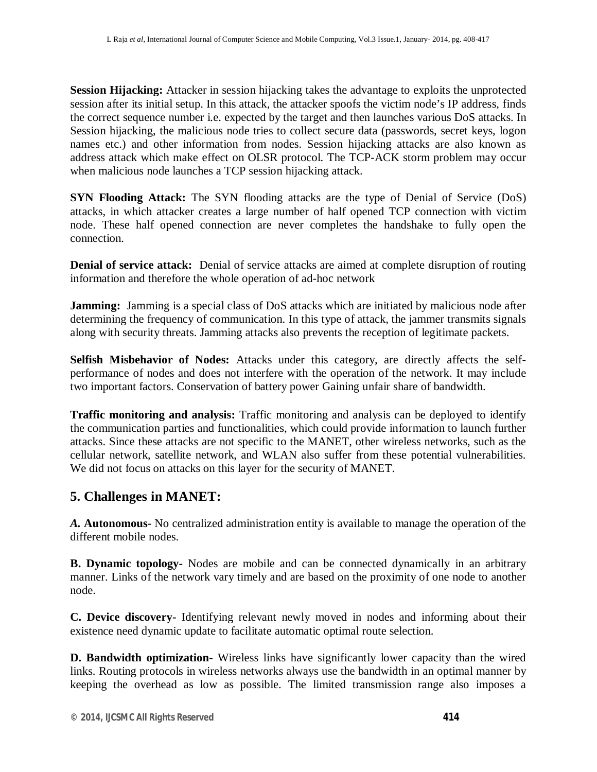**Session Hijacking:** Attacker in session hijacking takes the advantage to exploits the unprotected session after its initial setup. In this attack, the attacker spoofs the victim node's IP address, finds the correct sequence number i.e. expected by the target and then launches various DoS attacks. In Session hijacking, the malicious node tries to collect secure data (passwords, secret keys, logon names etc.) and other information from nodes. Session hijacking attacks are also known as address attack which make effect on OLSR protocol. The TCP-ACK storm problem may occur when malicious node launches a TCP session hijacking attack.

**SYN Flooding Attack:** The SYN flooding attacks are the type of Denial of Service (DoS) attacks, in which attacker creates a large number of half opened TCP connection with victim node. These half opened connection are never completes the handshake to fully open the connection.

**Denial of service attack:** Denial of service attacks are aimed at complete disruption of routing information and therefore the whole operation of ad-hoc network

**Jamming:** Jamming is a special class of DoS attacks which are initiated by malicious node after determining the frequency of communication. In this type of attack, the jammer transmits signals along with security threats. Jamming attacks also prevents the reception of legitimate packets.

**Selfish Misbehavior of Nodes:** Attacks under this category, are directly affects the selfperformance of nodes and does not interfere with the operation of the network. It may include two important factors. Conservation of battery power Gaining unfair share of bandwidth.

**Traffic monitoring and analysis:** Traffic monitoring and analysis can be deployed to identify the communication parties and functionalities, which could provide information to launch further attacks. Since these attacks are not specific to the MANET, other wireless networks, such as the cellular network, satellite network, and WLAN also suffer from these potential vulnerabilities. We did not focus on attacks on this layer for the security of MANET.

## **5. Challenges in MANET:**

*A.* **Autonomous-** No centralized administration entity is available to manage the operation of the different mobile nodes.

**B. Dynamic topology-** Nodes are mobile and can be connected dynamically in an arbitrary manner. Links of the network vary timely and are based on the proximity of one node to another node.

**C. Device discovery-** Identifying relevant newly moved in nodes and informing about their existence need dynamic update to facilitate automatic optimal route selection.

**D. Bandwidth optimization-** Wireless links have significantly lower capacity than the wired links. Routing protocols in wireless networks always use the bandwidth in an optimal manner by keeping the overhead as low as possible. The limited transmission range also imposes a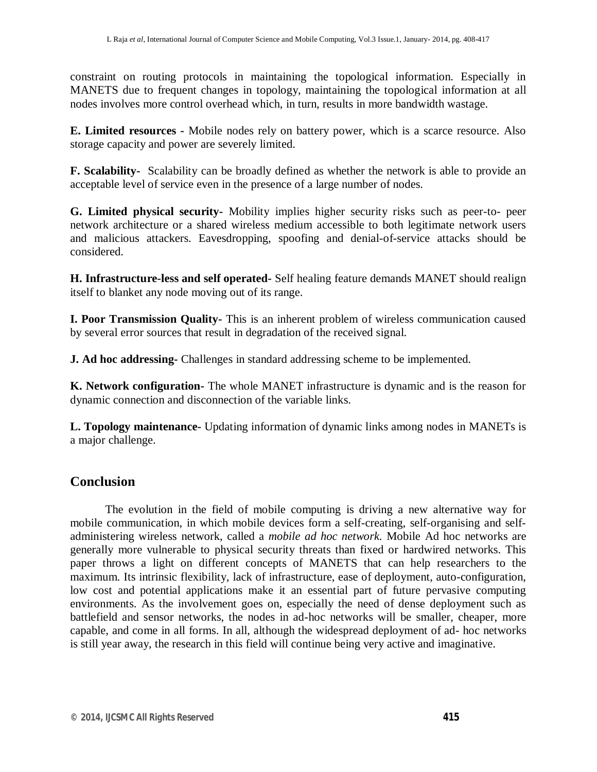constraint on routing protocols in maintaining the topological information. Especially in MANETS due to frequent changes in topology, maintaining the topological information at all nodes involves more control overhead which, in turn, results in more bandwidth wastage.

**E. Limited resources -** Mobile nodes rely on battery power, which is a scarce resource. Also storage capacity and power are severely limited.

**F. Scalability-** Scalability can be broadly defined as whether the network is able to provide an acceptable level of service even in the presence of a large number of nodes.

**G. Limited physical security-** Mobility implies higher security risks such as peer-to- peer network architecture or a shared wireless medium accessible to both legitimate network users and malicious attackers. Eavesdropping, spoofing and denial-of-service attacks should be considered.

**H. Infrastructure-less and self operated-** Self healing feature demands MANET should realign itself to blanket any node moving out of its range.

**I. Poor Transmission Quality-** This is an inherent problem of wireless communication caused by several error sources that result in degradation of the received signal.

**J. Ad hoc addressing-** Challenges in standard addressing scheme to be implemented.

**K. Network configuration-** The whole MANET infrastructure is dynamic and is the reason for dynamic connection and disconnection of the variable links.

**L. Topology maintenance-** Updating information of dynamic links among nodes in MANETs is a major challenge.

## **Conclusion**

The evolution in the field of mobile computing is driving a new alternative way for mobile communication, in which mobile devices form a self-creating, self-organising and selfadministering wireless network, called a *mobile ad hoc network.* Mobile Ad hoc networks are generally more vulnerable to physical security threats than fixed or hardwired networks. This paper throws a light on different concepts of MANETS that can help researchers to the maximum. Its intrinsic flexibility, lack of infrastructure, ease of deployment, auto-configuration, low cost and potential applications make it an essential part of future pervasive computing environments. As the involvement goes on, especially the need of dense deployment such as battlefield and sensor networks, the nodes in ad-hoc networks will be smaller, cheaper, more capable, and come in all forms. In all, although the widespread deployment of ad- hoc networks is still year away, the research in this field will continue being very active and imaginative.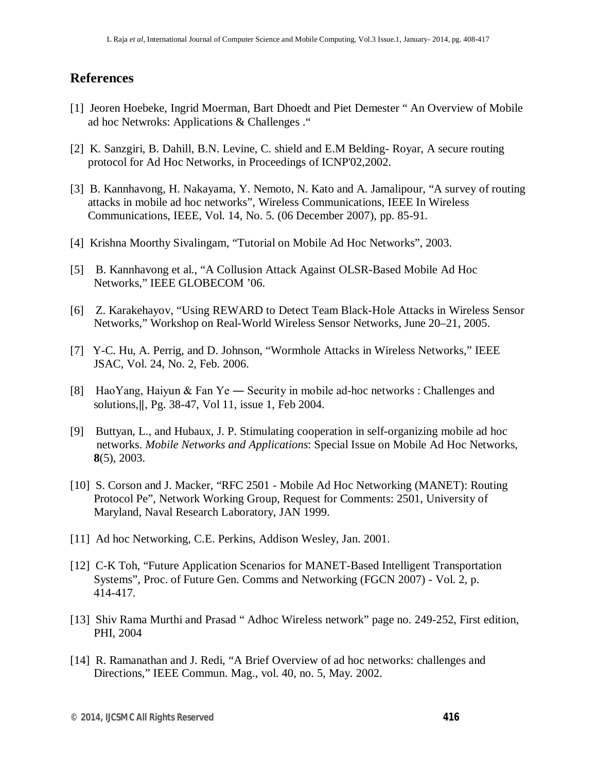#### **References**

- [1] Jeoren Hoebeke, Ingrid Moerman, Bart Dhoedt and Piet Demester " An Overview of Mobile ad hoc Netwroks: Applications & Challenges ."
- [2] K. Sanzgiri, B. Dahill, B.N. Levine, C. shield and E.M Belding- Royar, A secure routing protocol for Ad Hoc Networks, in Proceedings of ICNP'02,2002.
- [3] B. Kannhavong, H. Nakayama, Y. Nemoto, N. Kato and A. Jamalipour, "A survey of routing attacks in mobile ad hoc networks", Wireless Communications, IEEE In Wireless Communications, IEEE, Vol. 14, No. 5. (06 December 2007), pp. 85-91.
- [4] Krishna Moorthy Sivalingam, "Tutorial on Mobile Ad Hoc Networks", 2003.
- [5] B. Kannhavong et al., "A Collusion Attack Against OLSR-Based Mobile Ad Hoc Networks," IEEE GLOBECOM '06.
- [6] Z. Karakehayov, "Using REWARD to Detect Team Black-Hole Attacks in Wireless Sensor Networks," Workshop on Real-World Wireless Sensor Networks, June 20–21, 2005.
- [7] Y-C. Hu, A. Perrig, and D. Johnson, "Wormhole Attacks in Wireless Networks," IEEE JSAC, Vol. 24, No. 2, Feb. 2006.
- [8] HaoYang, Haiyun & Fan Ye ― Security in mobile ad-hoc networks : Challenges and solutions,‖, Pg. 38-47, Vol 11, issue 1, Feb 2004.
- [9] Buttyan, L., and Hubaux, J. P. Stimulating cooperation in self-organizing mobile ad hoc networks. *Mobile Networks and Applications*: Special Issue on Mobile Ad Hoc Networks, **8**(5), 2003.
- [10] S. Corson and J. Macker, "RFC 2501 Mobile Ad Hoc Networking (MANET): Routing Protocol Pe", Network Working Group, Request for Comments: 2501, University of Maryland, Naval Research Laboratory, JAN 1999.
- [11] Ad hoc Networking, C.E. Perkins, Addison Wesley, Jan. 2001.
- [12] C-K Toh, "Future Application Scenarios for MANET-Based Intelligent Transportation Systems", Proc. of Future Gen. Comms and Networking (FGCN 2007) - Vol. 2, p. 414-417.
- [13] Shiv Rama Murthi and Prasad " Adhoc Wireless network" page no. 249-252, First edition, PHI, 2004
- [14] R. Ramanathan and J. Redi, "A Brief Overview of ad hoc networks: challenges and Directions," IEEE Commun. Mag., vol. 40, no. 5, May. 2002.